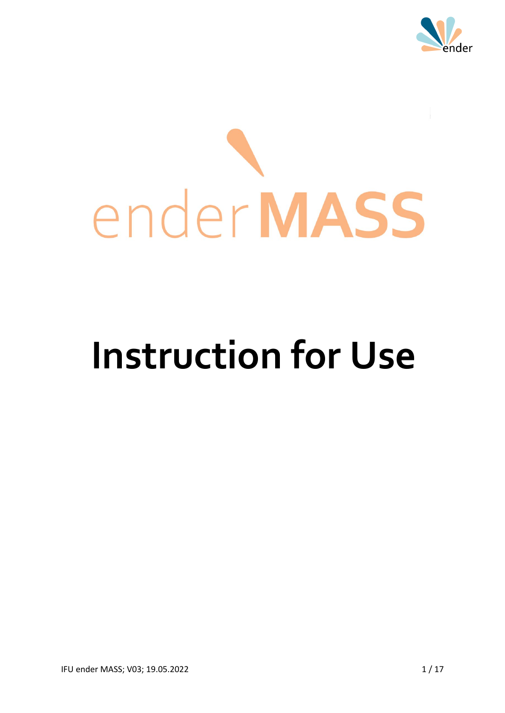

# ender MASS

# **Instruction for Use**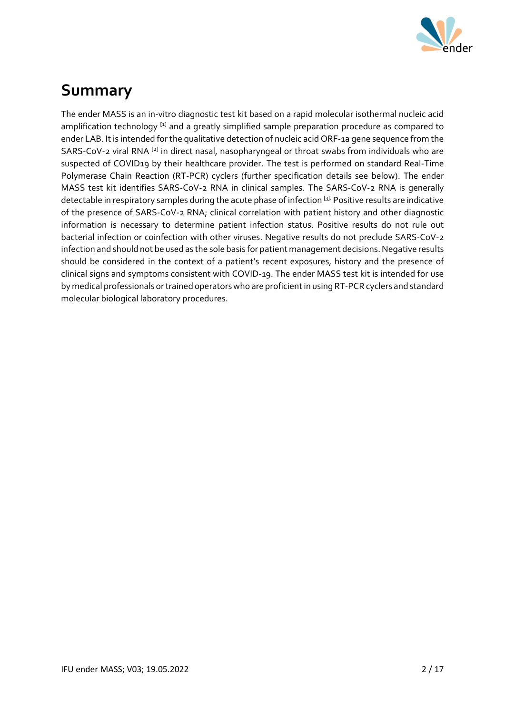

# **Summary**

The ender MASS is an in-vitro diagnostic test kit based on a rapid molecular isothermal nucleic acid amplification technology [1] and a greatly simplified sample preparation procedure as compared to ender LAB. It is intended for the qualitative detection of nucleic acid ORF-1a gene sequence from the SARS-CoV-2 viral RNA  $^{[2]}$  in direct nasal, nasopharyngeal or throat swabs from individuals who are suspected of COVID19 by their healthcare provider. The test is performed on standard Real-Time Polymerase Chain Reaction (RT-PCR) cyclers (further specification details see below). The ender MASS test kit identifies SARS-CoV-2 RNA in clinical samples. The SARS-CoV-2 RNA is generally detectable in respiratory samples during the acute phase of infection [3]. Positive results are indicative of the presence of SARS-CoV-2 RNA; clinical correlation with patient history and other diagnostic information is necessary to determine patient infection status. Positive results do not rule out bacterial infection or coinfection with other viruses. Negative results do not preclude SARS-CoV-2 infection and should not be used as the sole basis for patient management decisions. Negative results should be considered in the context of a patient's recent exposures, history and the presence of clinical signs and symptoms consistent with COVID-19. The ender MASS test kit is intended for use by medical professionals or trained operators who are proficient in using RT-PCR cyclers and standard molecular biological laboratory procedures.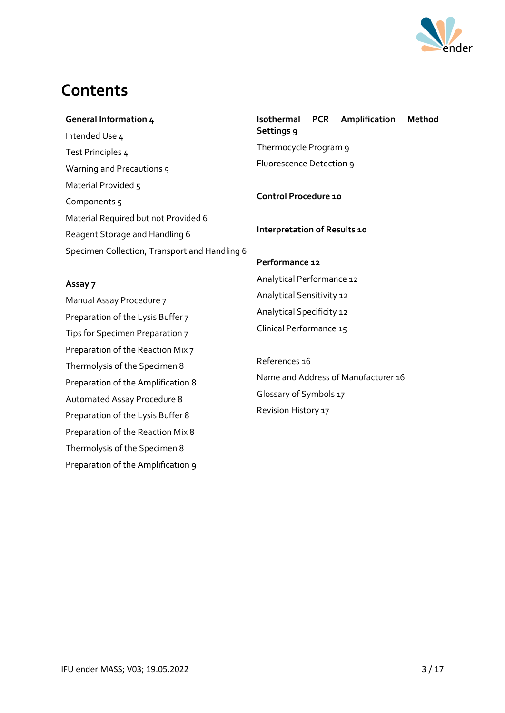

# **Contents**

#### **General Information 4**

Intended Use 4 Test Principles 4 Warning and Precautions 5 Material Provided 5 Components 5 Material Required but not Provided 6 Reagent Storage and Handling 6 Specimen Collection, Transport and Handling 6 **Isothermal PCR Amplification Method Settings 9** Thermocycle Program 9 Fluorescence Detection 9

**Control Procedure 10**

**Interpretation of Results 10**

#### **Assay 7**

Manual Assay Procedure 7 Preparation of the Lysis Buffer 7 Tips for Specimen Preparation 7 Preparation of the Reaction Mix 7 Thermolysis of the Specimen 8 Preparation of the Amplification 8 Automated Assay Procedure 8 Preparation of the Lysis Buffer 8 Preparation of the Reaction Mix 8 Thermolysis of the Specimen 8 Preparation of the Amplification 9 **Performance 12** Analytical Performance 12 Analytical Sensitivity 12 Analytical Specificity 12 Clinical Performance 15

References 16 Name and Address of Manufacturer 16 Glossary of Symbols 17 Revision History 17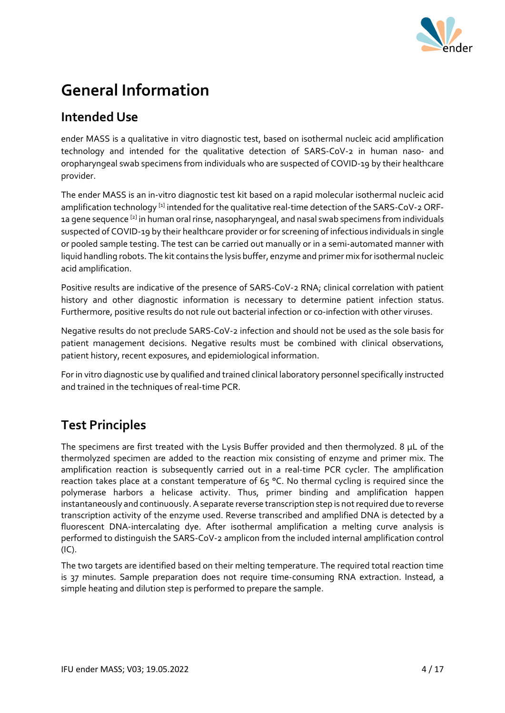

# **General Information**

#### **Intended Use**

ender MASS is a qualitative in vitro diagnostic test, based on isothermal nucleic acid amplification technology and intended for the qualitative detection of SARS-CoV-2 in human naso- and oropharyngeal swab specimens from individuals who are suspected of COVID-19 by their healthcare provider.

The ender MASS is an in-vitro diagnostic test kit based on a rapid molecular isothermal nucleic acid amplification technology <sup>[1]</sup> intended for the qualitative real-time detection of the SARS-CoV-2 ORF-1a gene sequence <sup>[2]</sup> in human oral rinse, nasopharyngeal, and nasal swab specimens from individuals suspected of COVID-19 by their healthcare provider or for screening of infectious individuals in single or pooled sample testing. The test can be carried out manually or in a semi-automated manner with liquid handling robots. The kit contains the lysis buffer, enzyme and primer mix for isothermal nucleic acid amplification.

Positive results are indicative of the presence of SARS-CoV-2 RNA; clinical correlation with patient history and other diagnostic information is necessary to determine patient infection status. Furthermore, positive results do not rule out bacterial infection or co-infection with other viruses.

Negative results do not preclude SARS-CoV-2 infection and should not be used as the sole basis for patient management decisions. Negative results must be combined with clinical observations, patient history, recent exposures, and epidemiological information.

For in vitro diagnostic use by qualified and trained clinical laboratory personnel specifically instructed and trained in the techniques of real-time PCR.

#### **Test Principles**

The specimens are first treated with the Lysis Buffer provided and then thermolyzed. 8 μL of the thermolyzed specimen are added to the reaction mix consisting of enzyme and primer mix. The amplification reaction is subsequently carried out in a real-time PCR cycler. The amplification reaction takes place at a constant temperature of  $65$  °C. No thermal cycling is required since the polymerase harbors a helicase activity. Thus, primer binding and amplification happen instantaneously and continuously. A separate reverse transcription step is not required due to reverse transcription activity of the enzyme used. Reverse transcribed and amplified DNA is detected by a fluorescent DNA-intercalating dye. After isothermal amplification a melting curve analysis is performed to distinguish the SARS-CoV-2 amplicon from the included internal amplification control (IC).

The two targets are identified based on their melting temperature. The required total reaction time is 37 minutes. Sample preparation does not require time-consuming RNA extraction. Instead, a simple heating and dilution step is performed to prepare the sample.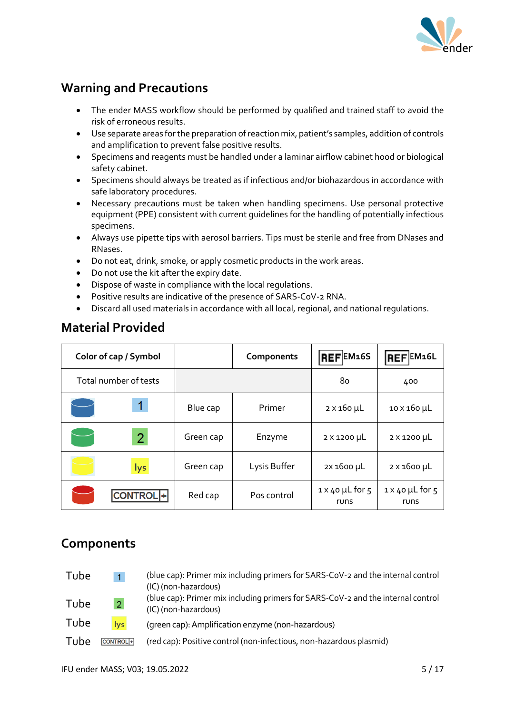

#### **Warning and Precautions**

- The ender MASS workflow should be performed by qualified and trained staff to avoid the risk of erroneous results.
- Use separate areas for the preparation of reaction mix, patient's samples, addition of controls and amplification to prevent false positive results.
- Specimens and reagents must be handled under a laminar airflow cabinet hood or biological safety cabinet.
- Specimens should always be treated as if infectious and/or biohazardous in accordance with safe laboratory procedures.
- Necessary precautions must be taken when handling specimens. Use personal protective equipment (PPE) consistent with current guidelines for the handling of potentially infectious specimens.
- Always use pipette tips with aerosol barriers. Tips must be sterile and free from DNases and RNases.
- Do not eat, drink, smoke, or apply cosmetic products in the work areas.
- Do not use the kit after the expiry date.
- Dispose of waste in compliance with the local regulations.
- Positive results are indicative of the presence of SARS-CoV-2 RNA.
- Discard all used materials in accordance with all local, regional, and national regulations.

| Color of cap / Symbol |                |           | Components   | REFEM16S                       | REFEM16L                       |
|-----------------------|----------------|-----------|--------------|--------------------------------|--------------------------------|
| Total number of tests |                |           |              | 80                             | 400                            |
|                       |                | Blue cap  | Primer       | $2 \times 160 \mu L$           | 10 x 160 µL                    |
|                       | $\overline{2}$ | Green cap | Enzyme       | $2 \times 1200 \mu L$          | $2 \times 1200 \mu L$          |
|                       | lys            | Green cap | Lysis Buffer | 2X 1600 µL                     | $2 \times 1600 \mu L$          |
|                       | NTROL +        | Red cap   | Pos control  | $1 \times 40$ µL for 5<br>runs | $1 \times 40$ µL for 5<br>runs |

#### **Material Provided**

#### **Components**

| Tube | $\blacktriangleleft$ | (blue cap): Primer mix including primers for SARS-CoV-2 and the internal control<br>(IC) (non-hazardous) |
|------|----------------------|----------------------------------------------------------------------------------------------------------|
| Tube | 2 <sup>1</sup>       | (blue cap): Primer mix including primers for SARS-CoV-2 and the internal control<br>(IC) (non-hazardous) |
| Tube | lys                  | (green cap): Amplification enzyme (non-hazardous)                                                        |
| Tube | CONTROL <sup>+</sup> | (red cap): Positive control (non-infectious, non-hazardous plasmid)                                      |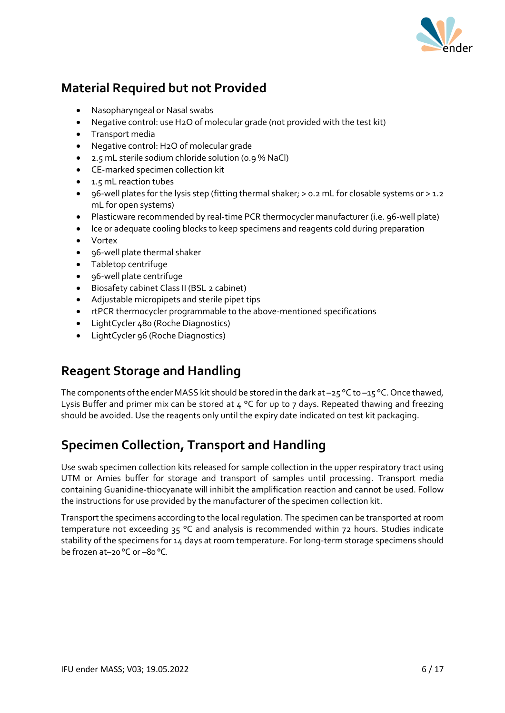

#### **Material Required but not Provided**

- Nasopharyngeal or Nasal swabs
- Negative control: use H2O of molecular grade (not provided with the test kit)
- Transport media
- Negative control: H2O of molecular grade
- 2.5 mL sterile sodium chloride solution (0.9 % NaCl)
- CE-marked specimen collection kit
- 1.5 mL reaction tubes
- 96-well plates for the lysis step (fitting thermal shaker; > 0.2 mL for closable systems or > 1.2 mL for open systems)
- Plasticware recommended by real-time PCR thermocycler manufacturer (i.e. 96-well plate)
- Ice or adequate cooling blocks to keep specimens and reagents cold during preparation
- Vortex
- 96-well plate thermal shaker
- Tabletop centrifuge
- 96-well plate centrifuge
- Biosafety cabinet Class II (BSL 2 cabinet)
- Adjustable micropipets and sterile pipet tips
- rtPCR thermocycler programmable to the above-mentioned specifications
- LightCycler 480 (Roche Diagnostics)
- LightCycler 96 (Roche Diagnostics)

#### **Reagent Storage and Handling**

The components of the ender MASS kit should be stored in the dark at -25 °C to -15 °C. Once thawed, Lysis Buffer and primer mix can be stored at 4 °C for up to 7 days. Repeated thawing and freezing should be avoided. Use the reagents only until the expiry date indicated on test kit packaging.

#### **Specimen Collection, Transport and Handling**

Use swab specimen collection kits released for sample collection in the upper respiratory tract using UTM or Amies buffer for storage and transport of samples until processing. Transport media containing Guanidine-thiocyanate will inhibit the amplification reaction and cannot be used. Follow the instructions for use provided by the manufacturer of the specimen collection kit.

Transport the specimens according to the local regulation. The specimen can be transported at room temperature not exceeding 35 °C and analysis is recommended within 72 hours. Studies indicate stability of the specimens for 14 days at room temperature. For long-term storage specimens should be frozen at–20 °C or –80 °C.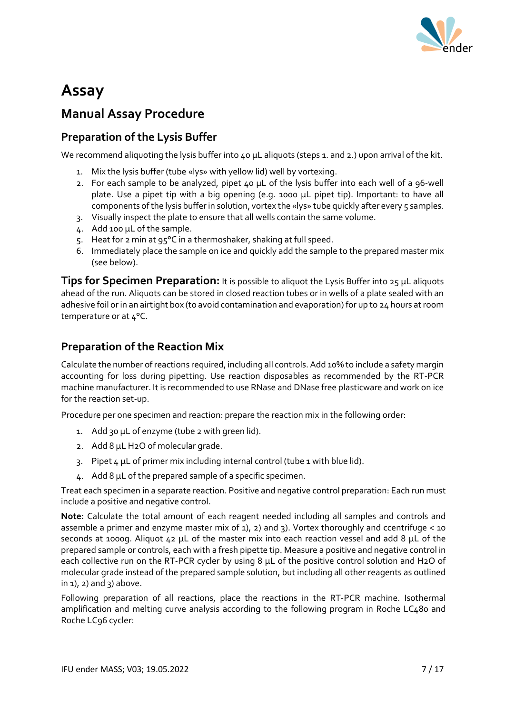

# **Assay**

#### **Manual Assay Procedure**

#### **Preparation of the Lysis Buffer**

We recommend aliquoting the lysis buffer into 40 µL aliquots (steps 1. and 2.) upon arrival of the kit.

- 1. Mix the lysis buffer (tube «lys» with yellow lid) well by vortexing.
- 2. For each sample to be analyzed, pipet 40 µL of the lysis buffer into each well of a 96-well plate. Use a pipet tip with a big opening (e.g. 1000 µL pipet tip). Important: to have all components of the lysis buffer in solution, vortex the «lys» tube quickly after every 5 samples.
- 3. Visually inspect the plate to ensure that all wells contain the same volume.
- 4. Add 100 µL of the sample.
- 5. Heat for 2 min at 95°C in a thermoshaker, shaking at full speed.
- 6. Immediately place the sample on ice and quickly add the sample to the prepared master mix (see below).

**Tips for Specimen Preparation:** It is possible to aliquot the Lysis Buffer into 25 μL aliquots ahead of the run. Aliquots can be stored in closed reaction tubes or in wells of a plate sealed with an adhesive foil or in an airtight box (to avoid contamination and evaporation) for up to 24 hours at room temperature or at 4°C.

#### **Preparation of the Reaction Mix**

Calculate the number of reactions required, including all controls. Add 10% to include a safety margin accounting for loss during pipetting. Use reaction disposables as recommended by the RT-PCR machine manufacturer. It is recommended to use RNase and DNase free plasticware and work on ice for the reaction set-up.

Procedure per one specimen and reaction: prepare the reaction mix in the following order:

- 1. Add 30 µL of enzyme (tube 2 with green lid).
- 2. Add 8 µL H2O of molecular grade.
- 3. Pipet 4 µL of primer mix including internal control (tube 1 with blue lid).
- 4. Add 8 µL of the prepared sample of a specific specimen.

Treat each specimen in a separate reaction. Positive and negative control preparation: Each run must include a positive and negative control.

**Note:** Calculate the total amount of each reagent needed including all samples and controls and assemble a primer and enzyme master mix of 1), 2) and 3). Vortex thoroughly and ccentrifuge < 10 seconds at 1000g. Aliquot 42 µL of the master mix into each reaction vessel and add 8 µL of the prepared sample or controls, each with a fresh pipette tip. Measure a positive and negative control in each collective run on the RT-PCR cycler by using 8 µL of the positive control solution and H2O of molecular grade instead of the prepared sample solution, but including all other reagents as outlined  $in 1$ ,  $2)$  and  $3)$  above.

Following preparation of all reactions, place the reactions in the RT-PCR machine. Isothermal amplification and melting curve analysis according to the following program in Roche LC480 and Roche LC96 cycler: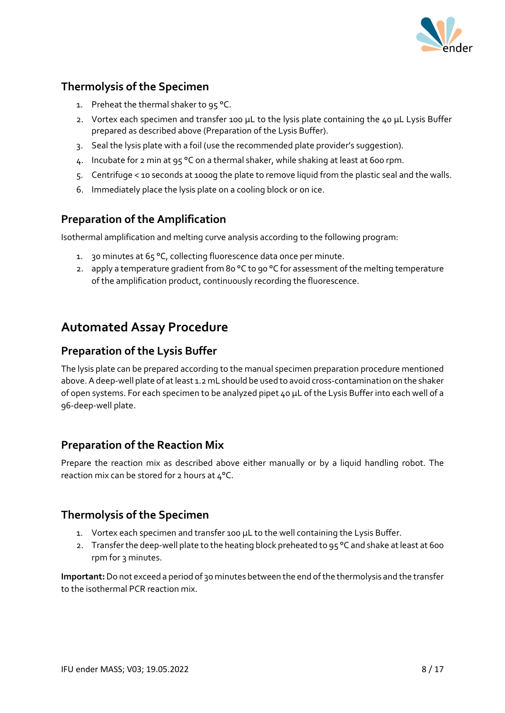

#### **Thermolysis of the Specimen**

- 1. Preheat the thermal shaker to 95 °C.
- 2. Vortex each specimen and transfer 100 μL to the lysis plate containing the 40 μL Lysis Buffer prepared as described above (Preparation of the Lysis Buffer).
- 3. Seal the lysis plate with a foil (use the recommended plate provider's suggestion).
- 4. Incubate for 2 min at 95 °C on a thermal shaker, while shaking at least at 600 rpm.
- 5. Centrifuge < 10 seconds at 1000g the plate to remove liquid from the plastic seal and the walls.
- 6. Immediately place the lysis plate on a cooling block or on ice.

#### **Preparation of the Amplification**

Isothermal amplification and melting curve analysis according to the following program:

- 1. 30 minutes at 65 °C, collecting fluorescence data once per minute.
- 2. apply a temperature gradient from 80 °C to 90 °C for assessment of the melting temperature of the amplification product, continuously recording the fluorescence.

#### **Automated Assay Procedure**

#### **Preparation of the Lysis Buffer**

The lysis plate can be prepared according to the manual specimen preparation procedure mentioned above. A deep-well plate of at least 1.2 mL should be used to avoid cross-contamination on the shaker of open systems. For each specimen to be analyzed pipet 40 μL of the Lysis Buffer into each well of a 96-deep-well plate.

#### **Preparation of the Reaction Mix**

Prepare the reaction mix as described above either manually or by a liquid handling robot. The reaction mix can be stored for 2 hours at 4°C.

#### **Thermolysis of the Specimen**

- 1. Vortex each specimen and transfer 100 μL to the well containing the Lysis Buffer.
- 2. Transfer the deep-well plate to the heating block preheated to 95 °C and shake at least at 600 rpm for 3 minutes.

**Important:**Do not exceed a period of 30 minutes between the end of the thermolysis and the transfer to the isothermal PCR reaction mix.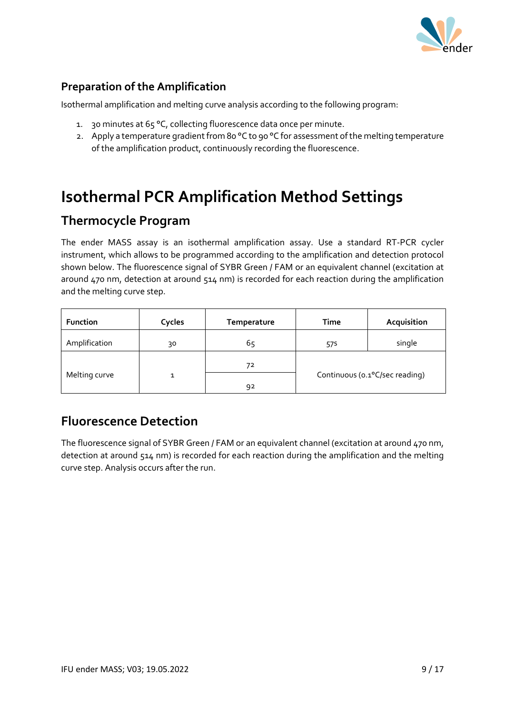

#### **Preparation of the Amplification**

Isothermal amplification and melting curve analysis according to the following program:

- 1. 30 minutes at 65 °C, collecting fluorescence data once per minute.
- 2. Apply a temperature gradient from 80 °C to 90 °C for assessment of the melting temperature of the amplification product, continuously recording the fluorescence.

# **Isothermal PCR Amplification Method Settings**

#### **Thermocycle Program**

The ender MASS assay is an isothermal amplification assay. Use a standard RT-PCR cycler instrument, which allows to be programmed according to the amplification and detection protocol shown below. The fluorescence signal of SYBR Green / FAM or an equivalent channel (excitation at around 470 nm, detection at around 514 nm) is recorded for each reaction during the amplification and the melting curve step.

| <b>Function</b> | Cycles | Temperature | Time                           | Acquisition |
|-----------------|--------|-------------|--------------------------------|-------------|
| Amplification   | 30     | 65          | 57s                            | single      |
|                 |        | 72          |                                |             |
| Melting curve   |        | 92          | Continuous (o.1°C/sec reading) |             |

#### **Fluorescence Detection**

The fluorescence signal of SYBR Green / FAM or an equivalent channel (excitation at around 470 nm, detection at around 514 nm) is recorded for each reaction during the amplification and the melting curve step. Analysis occurs after the run.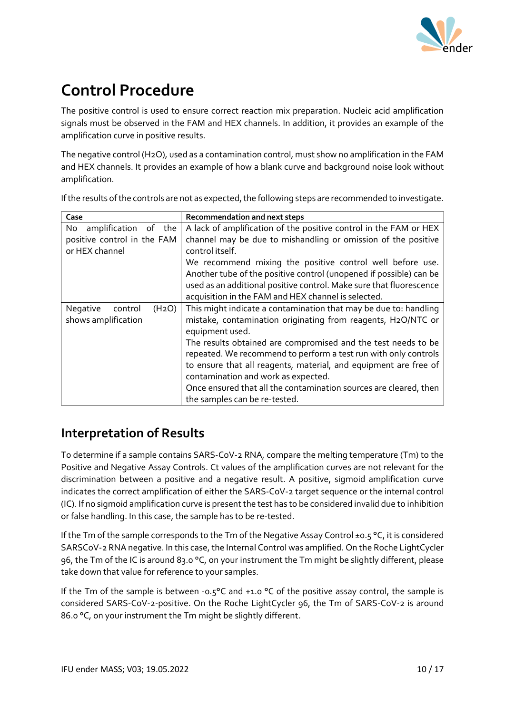

# **Control Procedure**

The positive control is used to ensure correct reaction mix preparation. Nucleic acid amplification signals must be observed in the FAM and HEX channels. In addition, it provides an example of the amplification curve in positive results.

The negative control (H2O), used as a contamination control, must show no amplification in the FAM and HEX channels. It provides an example of how a blank curve and background noise look without amplification.

If the results of the controls are not as expected, the following steps are recommended to investigate.

| Case                                                             | Recommendation and next steps                                                                                                                                                                                                                                                                                                                                                                                                                                                                            |
|------------------------------------------------------------------|----------------------------------------------------------------------------------------------------------------------------------------------------------------------------------------------------------------------------------------------------------------------------------------------------------------------------------------------------------------------------------------------------------------------------------------------------------------------------------------------------------|
| amplification of the<br>No                                       | A lack of amplification of the positive control in the FAM or HEX                                                                                                                                                                                                                                                                                                                                                                                                                                        |
| positive control in the FAM<br>or HEX channel                    | channel may be due to mishandling or omission of the positive<br>control itself.                                                                                                                                                                                                                                                                                                                                                                                                                         |
|                                                                  | We recommend mixing the positive control well before use.<br>Another tube of the positive control (unopened if possible) can be<br>used as an additional positive control. Make sure that fluorescence<br>acquisition in the FAM and HEX channel is selected.                                                                                                                                                                                                                                            |
| Negative<br>(H <sub>2</sub> O)<br>control<br>shows amplification | This might indicate a contamination that may be due to: handling<br>mistake, contamination originating from reagents, H2O/NTC or<br>equipment used.<br>The results obtained are compromised and the test needs to be<br>repeated. We recommend to perform a test run with only controls<br>to ensure that all reagents, material, and equipment are free of<br>contamination and work as expected.<br>Once ensured that all the contamination sources are cleared, then<br>the samples can be re-tested. |

#### **Interpretation of Results**

To determine if a sample contains SARS-CoV-2 RNA, compare the melting temperature (Tm) to the Positive and Negative Assay Controls. Ct values of the amplification curves are not relevant for the discrimination between a positive and a negative result. A positive, sigmoid amplification curve indicates the correct amplification of either the SARS-CoV-2 target sequence or the internal control (IC). If no sigmoid amplification curve is present the test has to be considered invalid due to inhibition or false handling. In this case, the sample has to be re-tested.

If the Tm of the sample corresponds to the Tm of the Negative Assay Control ±0.5 °C, it is considered SARSCoV-2 RNA negative. In this case, the Internal Control was amplified. On the Roche LightCycler 96, the Tm of the IC is around 83.0 °C, on your instrument the Tm might be slightly different, please take down that value for reference to your samples.

If the Tm of the sample is between -0.5°C and +1.0 °C of the positive assay control, the sample is considered SARS-CoV-2-positive. On the Roche LightCycler 96, the Tm of SARS-CoV-2 is around 86.0 °C, on your instrument the Tm might be slightly different.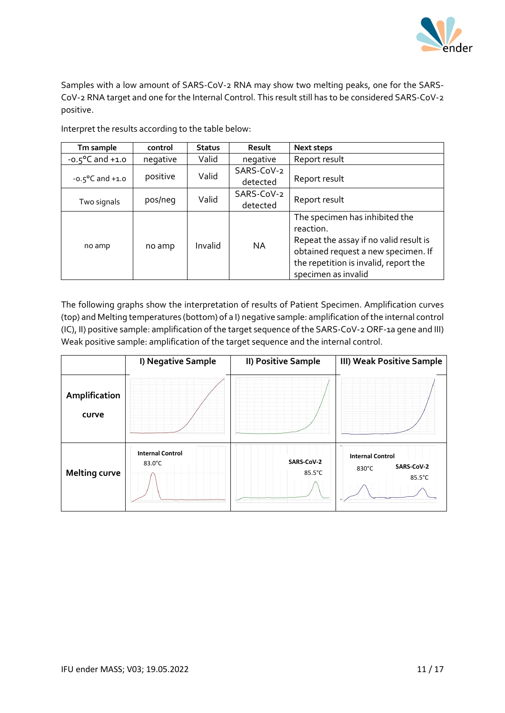

Samples with a low amount of SARS-CoV-2 RNA may show two melting peaks, one for the SARS-CoV-2 RNA target and one for the Internal Control. This result still has to be considered SARS-CoV-2 positive.

| Tm sample                           | control  | <b>Status</b> | Result     | Next steps                             |
|-------------------------------------|----------|---------------|------------|----------------------------------------|
| $-0.5^{\circ}$ C and $+1.0^{\circ}$ | negative | Valid         | negative   | Report result                          |
|                                     | positive | Valid         | SARS-CoV-2 |                                        |
| $-0.5^{\circ}$ C and $+1.0^{\circ}$ |          |               | detected   | Report result                          |
|                                     |          | Valid         | SARS-CoV-2 |                                        |
| Two signals                         | pos/neg  |               | detected   | Report result                          |
|                                     |          | Invalid       |            | The specimen has inhibited the         |
|                                     | no amp   |               |            | reaction.                              |
|                                     |          |               | <b>NA</b>  | Repeat the assay if no valid result is |
| no amp                              |          |               |            | obtained request a new specimen. If    |
|                                     |          |               |            | the repetition is invalid, report the  |
|                                     |          |               |            | specimen as invalid                    |

Interpret the results according to the table below:

The following graphs show the interpretation of results of Patient Specimen. Amplification curves (top) and Melting temperatures (bottom) of a I) negative sample: amplification ofthe internal control (IC), II) positive sample: amplification of the target sequence of the SARS-CoV-2 ORF-1a gene and III) Weak positive sample: amplification of the target sequence and the internal control.

|                        | I) Negative Sample                          | II) Positive Sample  | <b>III) Weak Positive Sample</b>                                |
|------------------------|---------------------------------------------|----------------------|-----------------------------------------------------------------|
| Amplification<br>curve |                                             |                      |                                                                 |
| <b>Melting curve</b>   | <b>Internal Control</b><br>$83.0^{\circ}$ C | SARS-CoV-2<br>85.5°C | <b>Internal Control</b><br><b>SARS-CoV-2</b><br>830°C<br>85.5°C |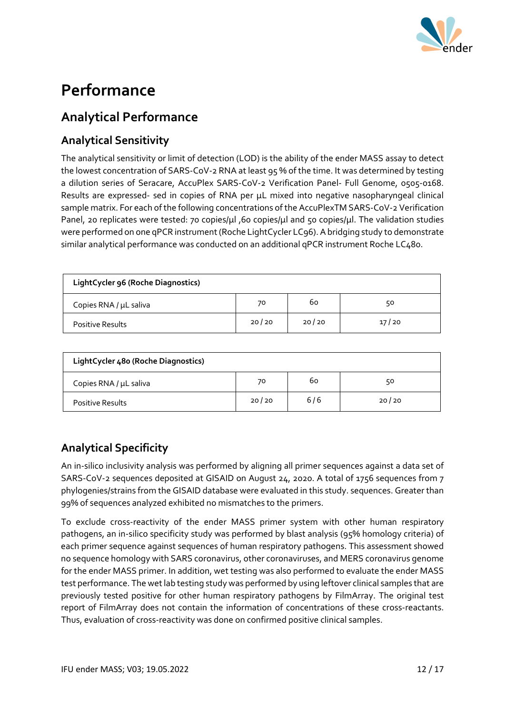

# **Performance**

#### **Analytical Performance**

#### **Analytical Sensitivity**

The analytical sensitivity or limit of detection (LOD) is the ability of the ender MASS assay to detect the lowest concentration of SARS-CoV-2 RNA at least 95 % of the time. It was determined by testing a dilution series of Seracare, AccuPlex SARS-CoV-2 Verification Panel- Full Genome, 0505-0168. Results are expressed- sed in copies of RNA per μL mixed into negative nasopharyngeal clinical sample matrix. For each of the following concentrations of the AccuPlexTM SARS-CoV-2 Verification Panel, 20 replicates were tested: 70 copies/μl ,60 copies/μl and 50 copies/μl. The validation studies were performed on one qPCR instrument (Roche LightCycler LC96). A bridging study to demonstrate similar analytical performance was conducted on an additional qPCR instrument Roche LC480.

| LightCycler 96 (Roche Diagnostics) |       |       |       |  |  |
|------------------------------------|-------|-------|-------|--|--|
| Copies RNA / µL saliva             | 70    | 60    | 50    |  |  |
| <b>Positive Results</b>            | 20/20 | 20/20 | 17/20 |  |  |

| LightCycler 480 (Roche Diagnostics) |       |     |       |  |  |  |
|-------------------------------------|-------|-----|-------|--|--|--|
| Copies RNA / µL saliva              | 70    | 60  | 50    |  |  |  |
| Positive Results                    | 20/20 | 6/6 | 20/20 |  |  |  |

#### **Analytical Specificity**

An in-silico inclusivity analysis was performed by aligning all primer sequences against a data set of SARS-CoV-2 sequences deposited at GISAID on August 24, 2020. A total of 1756 sequences from 7 phylogenies/strains from the GISAID database were evaluated in this study. sequences. Greater than 99% of sequences analyzed exhibited no mismatches to the primers.

To exclude cross-reactivity of the ender MASS primer system with other human respiratory pathogens, an in-silico specificity study was performed by blast analysis (95% homology criteria) of each primer sequence against sequences of human respiratory pathogens. This assessment showed no sequence homology with SARS coronavirus, other coronaviruses, and MERS coronavirus genome for the ender MASS primer. In addition, wet testing was also performed to evaluate the ender MASS test performance. The wet lab testing study was performed by using leftover clinical samples that are previously tested positive for other human respiratory pathogens by FilmArray. The original test report of FilmArray does not contain the information of concentrations of these cross-reactants. Thus, evaluation of cross-reactivity was done on confirmed positive clinical samples.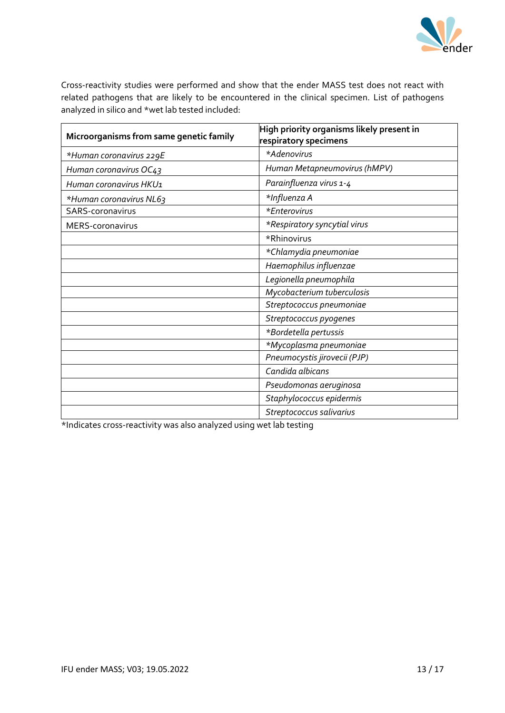

Cross-reactivity studies were performed and show that the ender MASS test does not react with related pathogens that are likely to be encountered in the clinical specimen. List of pathogens analyzed in silico and \*wet lab tested included:

| Microorganisms from same genetic family | High priority organisms likely present in<br>respiratory specimens |
|-----------------------------------------|--------------------------------------------------------------------|
| *Human coronavirus 229E                 | *Adenovirus                                                        |
| Human coronavirus OC43                  | Human Metapneumovirus (hMPV)                                       |
| Human coronavirus HKU1                  | Parainfluenza virus 1-4                                            |
| *Human coronavirus NL63                 | *Influenza A                                                       |
| SARS-coronavirus                        | *Enterovirus                                                       |
| MERS-coronavirus                        | *Respiratory syncytial virus                                       |
|                                         | *Rhinovirus                                                        |
|                                         | *Chlamydia pneumoniae                                              |
|                                         | Haemophilus influenzae                                             |
|                                         | Legionella pneumophila                                             |
|                                         | Mycobacterium tuberculosis                                         |
|                                         | Streptococcus pneumoniae                                           |
|                                         | Streptococcus pyogenes                                             |
|                                         | *Bordetella pertussis                                              |
|                                         | *Mycoplasma pneumoniae                                             |
|                                         | Pneumocystis jirovecii (PJP)                                       |
|                                         | Candida albicans                                                   |
|                                         | Pseudomonas aeruginosa                                             |
|                                         | Staphylococcus epidermis                                           |
|                                         | Streptococcus salivarius                                           |

\*Indicates cross-reactivity was also analyzed using wet lab testing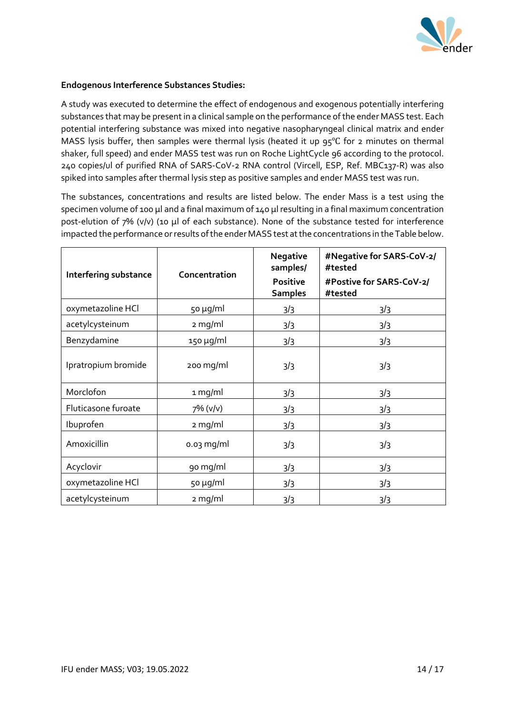

#### **Endogenous Interference Substances Studies:**

A study was executed to determine the effect of endogenous and exogenous potentially interfering substances that may be present in a clinical sample on the performance of the ender MASS test. Each potential interfering substance was mixed into negative nasopharyngeal clinical matrix and ender MASS lysis buffer, then samples were thermal lysis (heated it up 95℃ for 2 minutes on thermal shaker, full speed) and ender MASS test was run on Roche LightCycle 96 according to the protocol. 240 copies/ul of purified RNA of SARS-CoV-2 RNA control (Vircell, ESP, Ref. MBC137-R) was also spiked into samples after thermal lysis step as positive samples and ender MASS test was run.

The substances, concentrations and results are listed below. The ender Mass is a test using the specimen volume of 100 µl and a final maximum of 140 µl resulting in a final maximum concentration post-elution of 7% (v/v) (10 µl of each substance). None of the substance tested for interference impacted the performance or results of the ender MASS test at the concentrations in the Table below.

| Interfering substance         | Concentration  | <b>Negative</b><br>samples/<br><b>Positive</b><br><b>Samples</b> | #Negative for SARS-CoV-2/<br>#tested<br>#Postive for SARS-CoV-2/<br>#tested |
|-------------------------------|----------------|------------------------------------------------------------------|-----------------------------------------------------------------------------|
| oxymetazoline HCl             | 50 µg/ml       | 3/3                                                              | 3/3                                                                         |
| acetylcysteinum               | 2 mg/ml        | 3/3                                                              | 3/3                                                                         |
| Benzydamine                   | $150 \mu g/ml$ | 3/3                                                              | 3/3                                                                         |
| Ipratropium bromide           | 200 mg/ml      | 3/3                                                              | 3/3                                                                         |
| Morclofon                     | 1 mg/ml        | 3/3                                                              | 3/3                                                                         |
| Fluticasone furoate           | 7% (v/v)       | 3/3                                                              | 3/3                                                                         |
| Ibuprofen                     | $2$ mg/ml      | 3/3                                                              | 3/3                                                                         |
| Amoxicillin                   | $0.03$ mg/ml   | 3/3                                                              | 3/3                                                                         |
| Acyclovir                     | 90 mg/ml       | 3/3                                                              | 3/3                                                                         |
| oxymetazoline HCl<br>50 µg/ml |                | 3/3                                                              | 3/3                                                                         |
| acetylcysteinum               | 2 mg/ml        | 3/3                                                              | 3/3                                                                         |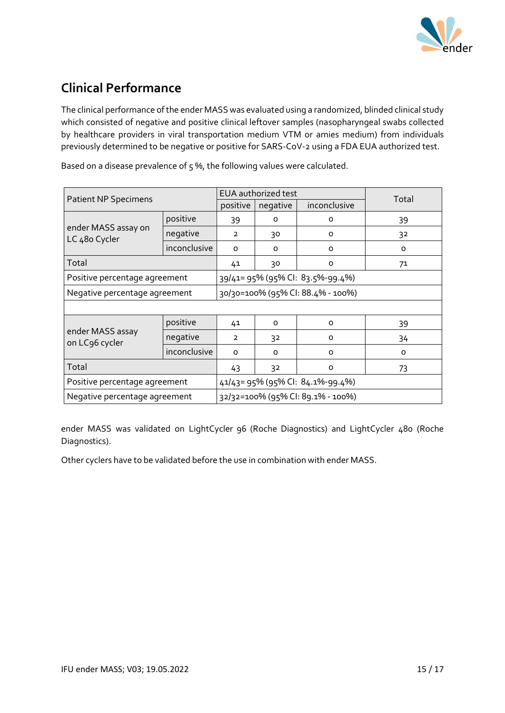

### **Clinical Performance**

The clinical performance of the ender MASS was evaluated using a randomized, blinded clinical study which consisted of negative and positive clinical leftover samples (nasopharyngeal swabs collected by healthcare providers in viral transportation medium VTM or amies medium) from individuals previously determined to be negative or positive for SARS-CoV-2 using a FDA EUA authorized test.

|                                      | <b>EUA</b> authorized test       |                                   |                                  | Total    |    |  |  |
|--------------------------------------|----------------------------------|-----------------------------------|----------------------------------|----------|----|--|--|
| <b>Patient NP Specimens</b>          | positive                         | negative                          | inconclusive                     |          |    |  |  |
|                                      | positive                         | 39                                | $\Omega$                         | $\Omega$ | 39 |  |  |
| ender MASS assay on<br>LC 480 Cycler | negative                         | $\overline{2}$                    | 30                               | $\Omega$ | 32 |  |  |
|                                      | inconclusive                     | $\Omega$                          | $\Omega$                         | $\Omega$ | 0  |  |  |
| Total                                |                                  | 41                                | 30                               | 0        | 71 |  |  |
| Positive percentage agreement        |                                  |                                   | 39/41= 95% (95% Cl: 83.5%-99.4%) |          |    |  |  |
| Negative percentage agreement        |                                  | 30/30=100% (95% CI: 88.4% - 100%) |                                  |          |    |  |  |
|                                      |                                  |                                   |                                  |          |    |  |  |
|                                      | positive                         | 41                                | $\Omega$                         | $\Omega$ | 39 |  |  |
| ender MASS assay<br>on LC96 cycler   | negative                         | 2                                 | 32                               | O        | 34 |  |  |
|                                      | inconclusive                     | $\Omega$                          | $\Omega$                         | $\Omega$ | 0  |  |  |
| Total                                | 43                               | 32                                | O                                | 73       |    |  |  |
| Positive percentage agreement        | 41/43= 95% (95% CI: 84.1%-99.4%) |                                   |                                  |          |    |  |  |
| Negative percentage agreement        |                                  | 32/32=100% (95% Cl: 89.1% - 100%) |                                  |          |    |  |  |

Based on a disease prevalence of 5 %, the following values were calculated.

ender MASS was validated on LightCycler 96 (Roche Diagnostics) and LightCycler 480 (Roche Diagnostics).

Other cyclers have to be validated before the use in combination with ender MASS.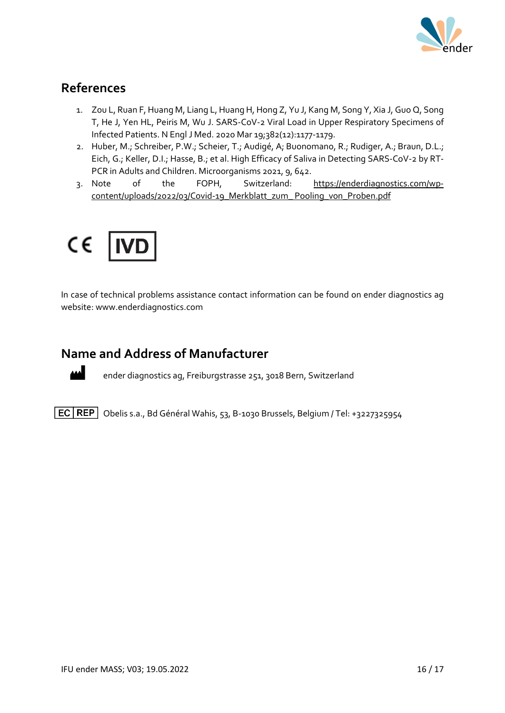

#### **References**

- 1. Zou L, Ruan F, Huang M, Liang L, Huang H, Hong Z, Yu J, Kang M, Song Y, Xia J, Guo Q, Song T, He J, Yen HL, Peiris M, Wu J. SARS-CoV-2 Viral Load in Upper Respiratory Specimens of Infected Patients. N Engl J Med. 2020 Mar 19;382(12):1177-1179.
- 2. Huber, M.; Schreiber, P.W.; Scheier, T.; Audigé, A; Buonomano, R.; Rudiger, A.; Braun, D.L.; Eich, G.; Keller, D.I.; Hasse, B.; et al. High Efficacy of Saliva in Detecting SARS-CoV-2 by RT-PCR in Adults and Children. Microorganisms 2021, 9, 642.
- 3. Note of the FOPH, Switzerland: [https://enderdiagnostics.com/wp](https://enderdiagnostics.com/wp-content/uploads/2022/03/Covid-19_Merkblatt_zum_%20Pooling_von_Proben.pdf)[content/uploads/2022/03/Covid-19\\_Merkblatt\\_zum\\_ Pooling\\_von\\_Proben.pdf](https://enderdiagnostics.com/wp-content/uploads/2022/03/Covid-19_Merkblatt_zum_%20Pooling_von_Proben.pdf)



In case of technical problems assistance contact information can be found on ender diagnostics ag website: www.enderdiagnostics.com

#### **Name and Address of Manufacturer**



ender diagnostics ag, Freiburgstrasse 251, 3018 Bern, Switzerland

 $\boxed{EC|REF|}$  Obelis s.a., Bd Général Wahis, 53, B-1030 Brussels, Belgium / Tel: +3227325954